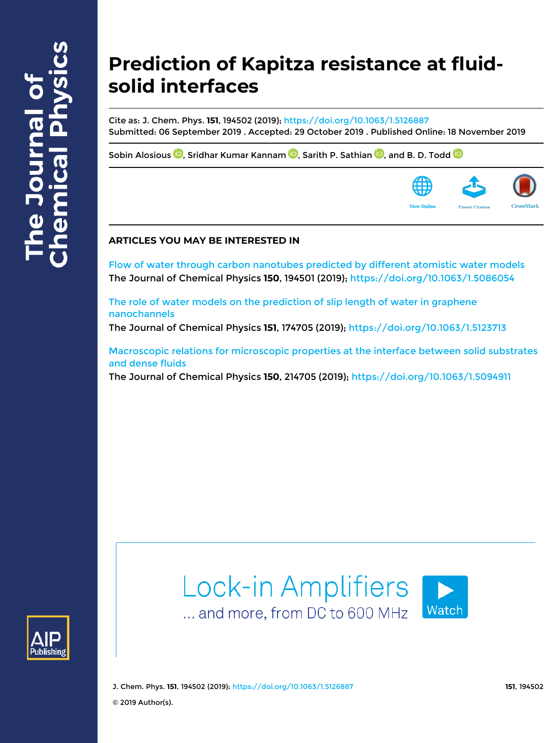# **Prediction of Kapitza resistance at fluidsolid interfaces**

Cite as: J. Chem. Phys. **151**, 194502 (2019); https://doi.org/10.1063/1.5126887 Submitted: 06 September 2019 . Accepted: 29 October 2019 . Published Online: 18 November 2019

Sobin Alosious  $\textcircled{\tiny{\textbf{D}}}$ , Sridhar Kumar Kannam  $\textcircled{\tiny{\textbf{D}}}$ , Sarith P. Sathian  $\textcircled{\tiny{\textbf{D}}}$ , and B. D. Todd  $\textcircled{\tiny{\textbf{D}}}$ 



# **ARTICLES YOU MAY BE INTERESTED IN**

Flow of water through carbon nanotubes predicted by different atomistic water models The Journal of Chemical Physics **150**, 194501 (2019); https://doi.org/10.1063/1.5086054

The role of water models on the prediction of slip length of water in graphene nanochannels

The Journal of Chemical Physics **151**, 174705 (2019); https://doi.org/10.1063/1.5123713

Macroscopic relations for microscopic properties at the interface between solid substrates and dense fluids

The Journal of Chemical Physics **150**, 214705 (2019); https://doi.org/10.1063/1.5094911





J. Chem. Phys. **151**, 194502 (2019); https://doi.org/10.1063/1.5126887 **151**, 194502 © 2019 Author(s).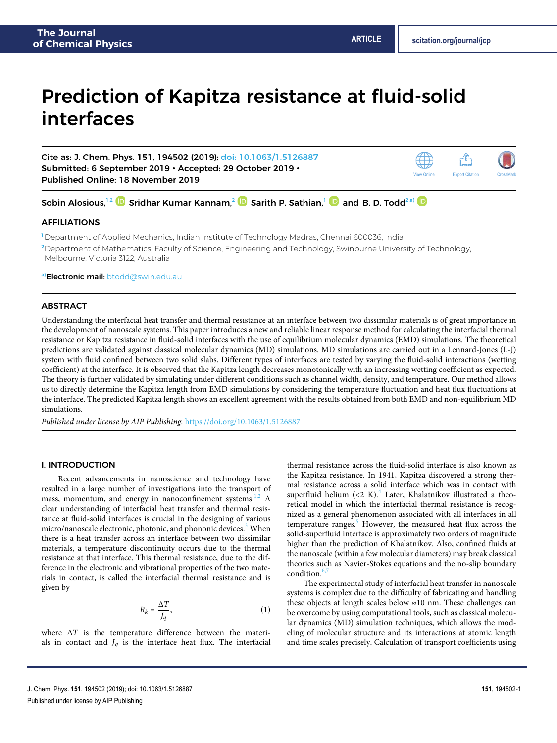rî **Export Citation** 

View Online

# Prediction of Kapitza resistance at fluid-solid interfaces

Cite as: J. Chem. Phys. **151**, 194502 (2019); doi: 10.1063/1.5126887 Submitted: 6 September 2019 • Accepted: 29 October 2019 • Published Online: 18 November 2019

Sobin Alosious,<sup>1,2</sup> © Sridhar Kumar Kannam,<sup>2</sup> © Sarith P. Sathian,<sup>1</sup> © and B. D. Todd<sup>2.a)</sup>

# AFFILIATIONS

**<sup>1</sup>** Department of Applied Mechanics, Indian Institute of Technology Madras, Chennai 600036, India **<sup>2</sup>**Department of Mathematics, Faculty of Science, Engineering and Technology, Swinburne University of Technology, Melbourne, Victoria 3122, Australia

**a)**Electronic mail: btodd@swin.edu.au

### ABSTRACT

Understanding the interfacial heat transfer and thermal resistance at an interface between two dissimilar materials is of great importance in the development of nanoscale systems. This paper introduces a new and reliable linear response method for calculating the interfacial thermal resistance or Kapitza resistance in fluid-solid interfaces with the use of equilibrium molecular dynamics (EMD) simulations. The theoretical predictions are validated against classical molecular dynamics (MD) simulations. MD simulations are carried out in a Lennard-Jones (L-J) system with fluid confined between two solid slabs. Different types of interfaces are tested by varying the fluid-solid interactions (wetting coefficient) at the interface. It is observed that the Kapitza length decreases monotonically with an increasing wetting coefficient as expected. The theory is further validated by simulating under different conditions such as channel width, density, and temperature. Our method allows us to directly determine the Kapitza length from EMD simulations by considering the temperature fluctuation and heat flux fluctuations at the interface. The predicted Kapitza length shows an excellent agreement with the results obtained from both EMD and non-equilibrium MD simulations.

*Published under license by AIP Publishing.* https://doi.org/10.1063/1.5126887.,

# I. INTRODUCTION

Recent advancements in nanoscience and technology have resulted in a large number of investigations into the transport of mass, momentum, and energy in nanoconfinement systems.<sup>1,2</sup> A clear understanding of interfacial heat transfer and thermal resistance at fluid-solid interfaces is crucial in the designing of various micro/nanoscale electronic, photonic, and phononic devices.<sup>3</sup> When there is a heat transfer across an interface between two dissimilar materials, a temperature discontinuity occurs due to the thermal resistance at that interface. This thermal resistance, due to the difference in the electronic and vibrational properties of the two materials in contact, is called the interfacial thermal resistance and is given by

$$
R_k = \frac{\Delta T}{J_q},\tag{1}
$$

where Δ*T* is the temperature difference between the materials in contact and  $J_q$  is the interface heat flux. The interfacial

thermal resistance across the fluid-solid interface is also known as the Kapitza resistance. In 1941, Kapitza discovered a strong thermal resistance across a solid interface which was in contact with superfluid helium  $\left( < 2 \right.$  K). $^{4}$  Later, Khalatnikov illustrated a theoretical model in which the interfacial thermal resistance is recognized as a general phenomenon associated with all interfaces in all temperature ranges.<sup>5</sup> However, the measured heat flux across the solid-superfluid interface is approximately two orders of magnitude higher than the prediction of Khalatnikov. Also, confined fluids at the nanoscale (within a few molecular diameters) may break classical theories such as Navier-Stokes equations and the no-slip boundary condition. $6$ 

The experimental study of interfacial heat transfer in nanoscale systems is complex due to the difficulty of fabricating and handling these objects at length scales below ≈10 nm. These challenges can be overcome by using computational tools, such as classical molecular dynamics (MD) simulation techniques, which allows the modeling of molecular structure and its interactions at atomic length and time scales precisely. Calculation of transport coefficients using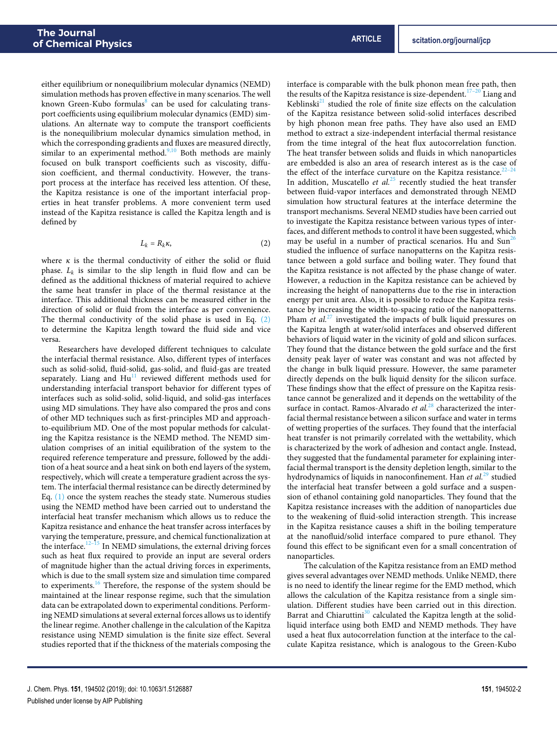either equilibrium or nonequilibrium molecular dynamics (NEMD) simulation methods has proven effective in many scenarios. The well known Green-Kubo formulas<sup>8</sup> can be used for calculating transport coefficients using equilibrium molecular dynamics (EMD) simulations. An alternate way to compute the transport coefficients is the nonequilibrium molecular dynamics simulation method, in which the corresponding gradients and fluxes are measured directly, similar to an experimental method.<sup>9,10</sup> Both methods are mainly focused on bulk transport coefficients such as viscosity, diffusion coefficient, and thermal conductivity. However, the transport process at the interface has received less attention. Of these, the Kapitza resistance is one of the important interfacial properties in heat transfer problems. A more convenient term used instead of the Kapitza resistance is called the Kapitza length and is defined by

$$
L_k = R_k \kappa, \tag{2}
$$

where  $\kappa$  is the thermal conductivity of either the solid or fluid phase. *L<sup>k</sup>* is similar to the slip length in fluid flow and can be defined as the additional thickness of material required to achieve the same heat transfer in place of the thermal resistance at the interface. This additional thickness can be measured either in the direction of solid or fluid from the interface as per convenience. The thermal conductivity of the solid phase is used in Eq. (2) to determine the Kapitza length toward the fluid side and vice versa.

Researchers have developed different techniques to calculate the interfacial thermal resistance. Also, different types of interfaces such as solid-solid, fluid-solid, gas-solid, and fluid-gas are treated separately. Liang and  $Hu<sup>11</sup>$  reviewed different methods used for understanding interfacial transport behavior for different types of interfaces such as solid-solid, solid-liquid, and solid-gas interfaces using MD simulations. They have also compared the pros and cons of other MD techniques such as first-principles MD and approachto-equilibrium MD. One of the most popular methods for calculating the Kapitza resistance is the NEMD method. The NEMD simulation comprises of an initial equilibration of the system to the required reference temperature and pressure, followed by the addition of a heat source and a heat sink on both end layers of the system, respectively, which will create a temperature gradient across the system. The interfacial thermal resistance can be directly determined by Eq. (1) once the system reaches the steady state. Numerous studies using the NEMD method have been carried out to understand the interfacial heat transfer mechanism which allows us to reduce the Kapitza resistance and enhance the heat transfer across interfaces by varying the temperature, pressure, and chemical functionalization at the interface. $12-15$  In NEMD simulations, the external driving forces such as heat flux required to provide an input are several orders of magnitude higher than the actual driving forces in experiments, which is due to the small system size and simulation time compared to experiments.<sup>16</sup> Therefore, the response of the system should be maintained at the linear response regime, such that the simulation data can be extrapolated down to experimental conditions. Performing NEMD simulations at several external forces allows us to identify the linear regime. Another challenge in the calculation of the Kapitza resistance using NEMD simulation is the finite size effect. Several studies reported that if the thickness of the materials composing the

interface is comparable with the bulk phonon mean free path, then the results of the Kapitza resistance is size-dependent.<sup>17–20</sup> Liang and Keblinski $^{21}$  studied the role of finite size effects on the calculation of the Kapitza resistance between solid-solid interfaces described by high phonon mean free paths. They have also used an EMD method to extract a size-independent interfacial thermal resistance from the time integral of the heat flux autocorrelation function. The heat transfer between solids and fluids in which nanoparticles are embedded is also an area of research interest as is the case of the effect of the interface curvature on the Kapitza resistance.<sup>22-24</sup> In addition, Muscatello *et al.*<sup>25</sup> recently studied the heat transfer between fluid-vapor interfaces and demonstrated through NEMD simulation how structural features at the interface determine the transport mechanisms. Several NEMD studies have been carried out to investigate the Kapitza resistance between various types of interfaces, and different methods to control it have been suggested, which may be useful in a number of practical scenarios. Hu and  $\text{Sun}^{26}$ studied the influence of surface nanopatterns on the Kapitza resistance between a gold surface and boiling water. They found that the Kapitza resistance is not affected by the phase change of water. However, a reduction in the Kapitza resistance can be achieved by increasing the height of nanopatterns due to the rise in interaction energy per unit area. Also, it is possible to reduce the Kapitza resistance by increasing the width-to-spacing ratio of the nanopatterns. Pham *et al.*<sup>27</sup> investigated the impacts of bulk liquid pressures on the Kapitza length at water/solid interfaces and observed different behaviors of liquid water in the vicinity of gold and silicon surfaces. They found that the distance between the gold surface and the first density peak layer of water was constant and was not affected by the change in bulk liquid pressure. However, the same parameter directly depends on the bulk liquid density for the silicon surface. These findings show that the effect of pressure on the Kapitza resistance cannot be generalized and it depends on the wettability of the surface in contact. Ramos-Alvarado *et al.*<sup>28</sup> characterized the interfacial thermal resistance between a silicon surface and water in terms of wetting properties of the surfaces. They found that the interfacial heat transfer is not primarily correlated with the wettability, which is characterized by the work of adhesion and contact angle. Instead, they suggested that the fundamental parameter for explaining interfacial thermal transport is the density depletion length, similar to the hydrodynamics of liquids in nanoconfinement. Han *et al.*<sup>29</sup> studied the interfacial heat transfer between a gold surface and a suspension of ethanol containing gold nanoparticles. They found that the Kapitza resistance increases with the addition of nanoparticles due to the weakening of fluid-solid interaction strength. This increase in the Kapitza resistance causes a shift in the boiling temperature at the nanofluid/solid interface compared to pure ethanol. They found this effect to be significant even for a small concentration of nanoparticles.

The calculation of the Kapitza resistance from an EMD method gives several advantages over NEMD methods. Unlike NEMD, there is no need to identify the linear regime for the EMD method, which allows the calculation of the Kapitza resistance from a single simulation. Different studies have been carried out in this direction. Barrat and Chiaruttini<sup>30</sup> calculated the Kapitza length at the solidliquid interface using both EMD and NEMD methods. They have used a heat flux autocorrelation function at the interface to the calculate Kapitza resistance, which is analogous to the Green-Kubo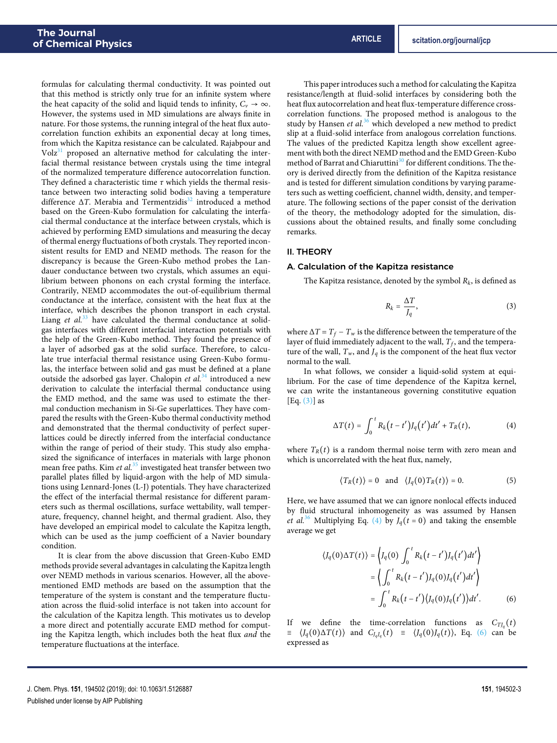formulas for calculating thermal conductivity. It was pointed out that this method is strictly only true for an infinite system where the heat capacity of the solid and liquid tends to infinity,  $C_v \rightarrow \infty$ . However, the systems used in MD simulations are always finite in nature. For those systems, the running integral of the heat flux autocorrelation function exhibits an exponential decay at long times, from which the Kapitza resistance can be calculated. Rajabpour and  $Volz^{31}$  proposed an alternative method for calculating the interfacial thermal resistance between crystals using the time integral of the normalized temperature difference autocorrelation function. They defined a characteristic time *τ* which yields the thermal resistance between two interacting solid bodies having a temperature difference Δ*T*. Merabia and Termentzidis<sup>32</sup> introduced a method based on the Green-Kubo formulation for calculating the interfacial thermal conductance at the interface between crystals, which is achieved by performing EMD simulations and measuring the decay of thermal energy fluctuations of both crystals. They reported inconsistent results for EMD and NEMD methods. The reason for the discrepancy is because the Green-Kubo method probes the Landauer conductance between two crystals, which assumes an equilibrium between phonons on each crystal forming the interface. Contrarily, NEMD accommodates the out-of-equilibrium thermal conductance at the interface, consistent with the heat flux at the interface, which describes the phonon transport in each crystal. Liang *et al.*<sup>33</sup> have calculated the thermal conductance at solidgas interfaces with different interfacial interaction potentials with the help of the Green-Kubo method. They found the presence of a layer of adsorbed gas at the solid surface. Therefore, to calculate true interfacial thermal resistance using Green-Kubo formulas, the interface between solid and gas must be defined at a plane outside the adsorbed gas layer. Chalopin *et al.*<sup>34</sup> introduced a new derivation to calculate the interfacial thermal conductance using the EMD method, and the same was used to estimate the thermal conduction mechanism in Si-Ge superlattices. They have compared the results with the Green-Kubo thermal conductivity method and demonstrated that the thermal conductivity of perfect superlattices could be directly inferred from the interfacial conductance within the range of period of their study. This study also emphasized the significance of interfaces in materials with large phonon mean free paths. Kim *et al.*<sup>35</sup> investigated heat transfer between two parallel plates filled by liquid-argon with the help of MD simulations using Lennard-Jones (L-J) potentials. They have characterized the effect of the interfacial thermal resistance for different parameters such as thermal oscillations, surface wettability, wall temperature, frequency, channel height, and thermal gradient. Also, they have developed an empirical model to calculate the Kapitza length, which can be used as the jump coefficient of a Navier boundary condition.

It is clear from the above discussion that Green-Kubo EMD methods provide several advantages in calculating the Kapitza length over NEMD methods in various scenarios. However, all the abovementioned EMD methods are based on the assumption that the temperature of the system is constant and the temperature fluctuation across the fluid-solid interface is not taken into account for the calculation of the Kapitza length. This motivates us to develop a more direct and potentially accurate EMD method for computing the Kapitza length, which includes both the heat flux *and* the temperature fluctuations at the interface.

This paper introduces such a method for calculating the Kapitza resistance/length at fluid-solid interfaces by considering both the heat flux autocorrelation and heat flux-temperature difference crosscorrelation functions. The proposed method is analogous to the study by Hansen *et al.*<sup>36</sup> which developed a new method to predict slip at a fluid-solid interface from analogous correlation functions. The values of the predicted Kapitza length show excellent agreement with both the direct NEMD method and the EMD Green-Kubo method of Barrat and Chiaruttini<sup>30</sup> for different conditions. The theory is derived directly from the definition of the Kapitza resistance and is tested for different simulation conditions by varying parameters such as wetting coefficient, channel width, density, and temperature. The following sections of the paper consist of the derivation of the theory, the methodology adopted for the simulation, discussions about the obtained results, and finally some concluding remarks.

#### II. THEORY

#### A. Calculation of the Kapitza resistance

The Kapitza resistance, denoted by the symbol *R<sup>k</sup>* , is defined as

$$
R_k = \frac{\Delta T}{J_q},\tag{3}
$$

where  $\Delta T = T_f - T_w$  is the difference between the temperature of the layer of fluid immediately adjacent to the wall,  $T_f$ , and the temperature of the wall,  $T_w$ , and  $J_q$  is the component of the heat flux vector normal to the wall.

In what follows, we consider a liquid-solid system at equilibrium. For the case of time dependence of the Kapitza kernel, we can write the instantaneous governing constitutive equation  $[Eq. (3)]$  as

$$
\Delta T(t) = \int_0^t R_k(t - t') J_q(t') dt' + T_R(t), \tag{4}
$$

where  $T_R(t)$  is a random thermal noise term with zero mean and which is uncorrelated with the heat flux, namely,

$$
\langle T_R(t) \rangle = 0 \quad \text{and} \quad \langle J_q(0) T_R(t) \rangle = 0. \tag{5}
$$

Here, we have assumed that we can ignore nonlocal effects induced by fluid structural inhomogeneity as was assumed by Hansen *et al.*<sup>36</sup> Multiplying Eq. (4) by  $J_q(t=0)$  and taking the ensemble average we get

$$
\langle J_q(0)\Delta T(t)\rangle = \left\langle J_q(0) \int_0^t R_k(t-t')J_q(t')dt'\right\rangle
$$
  
= 
$$
\left\langle \int_0^t R_k(t-t')J_q(0)J_q(t')dt'\right\rangle
$$
  
= 
$$
\int_0^t R_k(t-t')\langle J_q(0)J_q(t')\rangle dt'.
$$
 (6)

If we define the time-correlation functions as  $C_{TJ_q}(t)$  $\equiv \langle J_q(0) \Delta T(t) \rangle$  and  $C_{J_qJ_q}(t) = \langle J_q(0) J_q(t) \rangle$ , Eq. (6) can be expressed as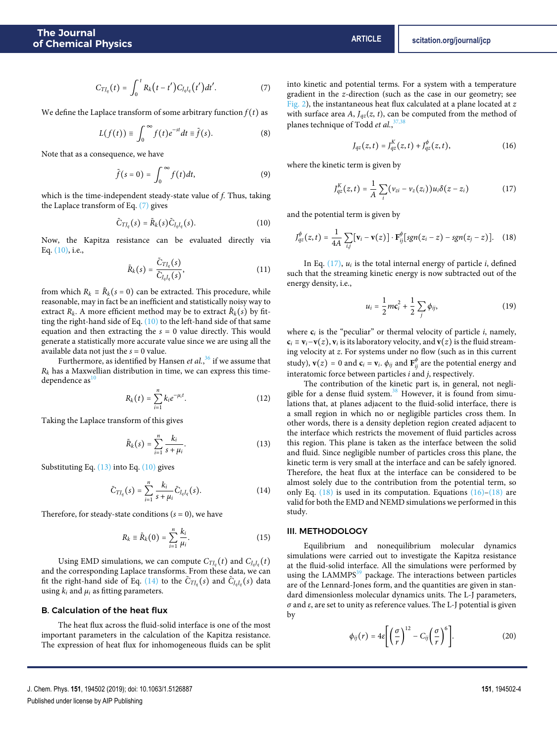$$
C_{TJ_q}(t) = \int_0^t R_k(t-t')C_{J_qJ_q}(t')dt'.
$$
 (7)

We define the Laplace transform of some arbitrary function  $f(t)$  as

$$
L(f(t)) \equiv \int_0^\infty f(t)e^{-st}dt \equiv \tilde{f}(s).
$$
 (8)

Note that as a consequence, we have

$$
\tilde{f}(s=0) = \int_0^\infty f(t)dt,\tag{9}
$$

which is the time-independent steady-state value of *f*. Thus, taking the Laplace transform of Eq. (7) gives

$$
\tilde{C}_{TJ_q}(s) = \tilde{R}_k(s)\tilde{C}_{J_qJ_q}(s).
$$
 (10)

Now, the Kapitza resistance can be evaluated directly via Eq. (10), i.e.,

$$
\tilde{R}_k(s) = \frac{\tilde{C}_{TJ_q}(s)}{\tilde{C}_{J_qJ_q}(s)},
$$
\n(11)

from which  $R_k \equiv \tilde{R}_k(s = 0)$  can be extracted. This procedure, while reasonable, may in fact be an inefficient and statistically noisy way to extract  $R_k$ . A more efficient method may be to extract  $\tilde{R}_k(s)$  by fitting the right-hand side of Eq.  $(10)$  to the left-hand side of that same equation and then extracting the  $s = 0$  value directly. This would generate a statistically more accurate value since we are using all the available data not just the *s* = 0 value.

Furthermore, as identified by Hansen *et al.*, <sup>36</sup> if we assume that  $R_k$  has a Maxwellian distribution in time, we can express this timedependence as  $10$ 

$$
R_k(t) = \sum_{i=1}^n k_i e^{-\mu_i t}.
$$
 (12)

Taking the Laplace transform of this gives

$$
\tilde{R}_k(s) = \sum_{i=1}^n \frac{k_i}{s + \mu_i}.
$$
\n(13)

Substituting Eq.  $(13)$  into Eq.  $(10)$  gives

$$
\tilde{C}_{TJ_q}(s) = \sum_{i=1}^{n} \frac{k_i}{s + \mu_i} \tilde{C}_{J_qJ_q}(s).
$$
 (14)

Therefore, for steady-state conditions  $(s = 0)$ , we have

$$
R_k \equiv \tilde{R}_k(0) = \sum_{i=1}^n \frac{k_i}{\mu_i}.\tag{15}
$$

Using EMD simulations, we can compute  $C_{TI_q}(t)$  and  $C_{J_qJ_q}(t)$ and the corresponding Laplace transforms. From these data, we can fit the right-hand side of Eq. (14) to the  $\tilde{C}_{TI_q}(s)$  and  $\tilde{C}_{I_qI_q}(s)$  data using  $k_i$  and  $\mu_i$  as fitting parameters.

## B. Calculation of the heat flux

The heat flux across the fluid-solid interface is one of the most important parameters in the calculation of the Kapitza resistance. The expression of heat flux for inhomogeneous fluids can be split into kinetic and potential terms. For a system with a temperature gradient in the *z*-direction (such as the case in our geometry; see Fig. 2), the instantaneous heat flux calculated at a plane located at *z* with surface area *A*,  $J_{qz}(z, t)$ , can be computed from the method of planes technique of Todd *et al.*, 37,38

$$
J_{qz}(z,t) = J_{qz}^{K}(z,t) + J_{qz}^{\phi}(z,t),
$$
\n(16)

where the kinetic term is given by

$$
J_{qz}^{K}(z,t) = \frac{1}{A} \sum_{i} (\nu_{zi} - \nu_{z}(z_i)) u_i \delta(z - z_i)
$$
 (17)

and the potential term is given by

$$
J_{qz}^{\phi}(z,t)=\frac{1}{4A}\sum_{i,j}[\mathbf{v}_i-\mathbf{v}(z)]\cdot\mathbf{F}_{ij}^{\phi}[sgn(z_i-z)-sgn(z_j-z)].\quad (18)
$$

In Eq.  $(17)$ ,  $u_i$  is the total internal energy of particle *i*, defined such that the streaming kinetic energy is now subtracted out of the energy density, i.e.,

$$
u_i = \frac{1}{2} m c_i^2 + \frac{1}{2} \sum_j \phi_{ij}, \qquad (19)
$$

where  $c_i$  is the "peculiar" or thermal velocity of particle  $i$ , namely,  $c_i \equiv v_i - v(z)$ ,  $v_i$  is its laboratory velocity, and  $v(z)$  is the fluid streaming velocity at *z*. For systems under no flow (such as in this current study),  $\mathbf{v}(z) = 0$  and  $\mathbf{c}_i = \mathbf{v}_i$ .  $\phi_{ij}$  and  $\mathbf{F}_{ij}^{\phi}$  are the potential energy and interatomic force between particles *i* and *j*, respectively.

The contribution of the kinetic part is, in general, not negligible for a dense fluid system.<sup>38</sup> However, it is found from simulations that, at planes adjacent to the fluid-solid interface, there is a small region in which no or negligible particles cross them. In other words, there is a density depletion region created adjacent to the interface which restricts the movement of fluid particles across this region. This plane is taken as the interface between the solid and fluid. Since negligible number of particles cross this plane, the kinetic term is very small at the interface and can be safely ignored. Therefore, the heat flux at the interface can be considered to be almost solely due to the contribution from the potential term, so only Eq.  $(18)$  is used in its computation. Equations  $(16)$ – $(18)$  are valid for both the EMD and NEMD simulations we performed in this study.

# III. METHODOLOGY

Equilibrium and nonequilibrium molecular dynamics simulations were carried out to investigate the Kapitza resistance at the fluid-solid interface. All the simulations were performed by using the LAMMPS<sup>39</sup> package. The interactions between particles are of the Lennard-Jones form, and the quantities are given in standard dimensionless molecular dynamics units. The L-J parameters, *σ* and *ε*, are set to unity as reference values. The L-J potential is given by

$$
\phi_{ij}(r) = 4\varepsilon \left[ \left( \frac{\sigma}{r} \right)^{12} - C_{ij} \left( \frac{\sigma}{r} \right)^6 \right].
$$
 (20)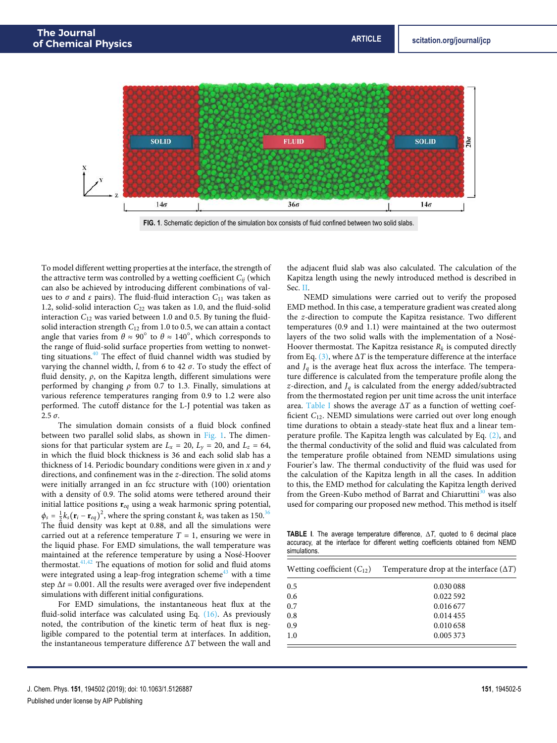

**FIG. 1**. Schematic depiction of the simulation box consists of fluid confined between two solid slabs.

To model different wetting properties at the interface, the strength of the attractive term was controlled by a wetting coefficient *Cij* (which can also be achieved by introducing different combinations of values to *σ* and *ε* pairs). The fluid-fluid interaction  $C_{11}$  was taken as 1.2, solid-solid interaction *C*<sup>22</sup> was taken as 1.0, and the fluid-solid interaction *C*<sup>12</sup> was varied between 1.0 and 0.5. By tuning the fluidsolid interaction strength *C*<sup>12</sup> from 1.0 to 0.5, we can attain a contact angle that varies from  $\theta \approx 90^\circ$  to  $\theta \approx 140^\circ$ , which corresponds to the range of fluid-solid surface properties from wetting to nonwetting situations. $40$  The effect of fluid channel width was studied by varying the channel width, *l*, from 6 to 42 *σ*. To study the effect of fluid density, *ρ*, on the Kapitza length, different simulations were performed by changing *ρ* from 0.7 to 1.3. Finally, simulations at various reference temperatures ranging from 0.9 to 1.2 were also performed. The cutoff distance for the L-J potential was taken as 2.5 *σ*.

The simulation domain consists of a fluid block confined between two parallel solid slabs, as shown in Fig. 1. The dimensions for that particular system are  $L_x = 20$ ,  $L_y = 20$ , and  $L_z = 64$ , in which the fluid block thickness is 36 and each solid slab has a thickness of 14. Periodic boundary conditions were given in *x* and *y* directions, and confinement was in the *z*-direction. The solid atoms were initially arranged in an fcc structure with (100) orientation with a density of 0.9. The solid atoms were tethered around their initial lattice positions **r***eq* using a weak harmonic spring potential,  $\phi_s = \frac{1}{2}k_s(\mathbf{r}_i - \mathbf{r}_{eq})^2$ , where the spring constant  $k_s$  was taken as 150.<sup>36</sup> The fluid density was kept at 0.88, and all the simulations were carried out at a reference temperature  $T = 1$ , ensuring we were in the liquid phase. For EMD simulations, the wall temperature was maintained at the reference temperature by using a Nosé-Hoover thermostat. $41,42$  The equations of motion for solid and fluid atoms were integrated using a leap-frog integration scheme<sup>43</sup> with a time step  $\Delta t = 0.001$ . All the results were averaged over five independent simulations with different initial configurations.

For EMD simulations, the instantaneous heat flux at the fluid-solid interface was calculated using Eq. (16). As previously noted, the contribution of the kinetic term of heat flux is negligible compared to the potential term at interfaces. In addition, the instantaneous temperature difference Δ*T* between the wall and

the adjacent fluid slab was also calculated. The calculation of the Kapitza length using the newly introduced method is described in Sec. II.

NEMD simulations were carried out to verify the proposed EMD method. In this case, a temperature gradient was created along the *z*-direction to compute the Kapitza resistance. Two different temperatures (0.9 and 1.1) were maintained at the two outermost layers of the two solid walls with the implementation of a Nosé-Hoover thermostat. The Kapitza resistance *R<sup>k</sup>* is computed directly from Eq. (3), where  $\Delta T$  is the temperature difference at the interface and  $J_q$  is the average heat flux across the interface. The temperature difference is calculated from the temperature profile along the *z*-direction, and  $J_q$  is calculated from the energy added/subtracted from the thermostated region per unit time across the unit interface area. Table I shows the average Δ*T* as a function of wetting coefficient *C*12. NEMD simulations were carried out over long enough time durations to obtain a steady-state heat flux and a linear temperature profile. The Kapitza length was calculated by Eq. (2), and the thermal conductivity of the solid and fluid was calculated from the temperature profile obtained from NEMD simulations using Fourier's law. The thermal conductivity of the fluid was used for the calculation of the Kapitza length in all the cases. In addition to this, the EMD method for calculating the Kapitza length derived from the Green-Kubo method of Barrat and Chiaruttini<sup>30</sup> was also used for comparing our proposed new method. This method is itself

**TABLE I**. The average temperature difference, Δ*T*, quoted to 6 decimal place accuracy, at the interface for different wetting coefficients obtained from NEMD simulations.

| Wetting coefficient $(C_{12})$ | Temperature drop at the interface $(\Delta T)$ |
|--------------------------------|------------------------------------------------|
| 0.5                            | 0.030 088                                      |
| 0.6                            | 0.022592                                       |
| 0.7                            | 0.016677                                       |
| 0.8                            | 0.014455                                       |
| 0.9                            | 0.010 658                                      |
| 1.0                            | 0.005373                                       |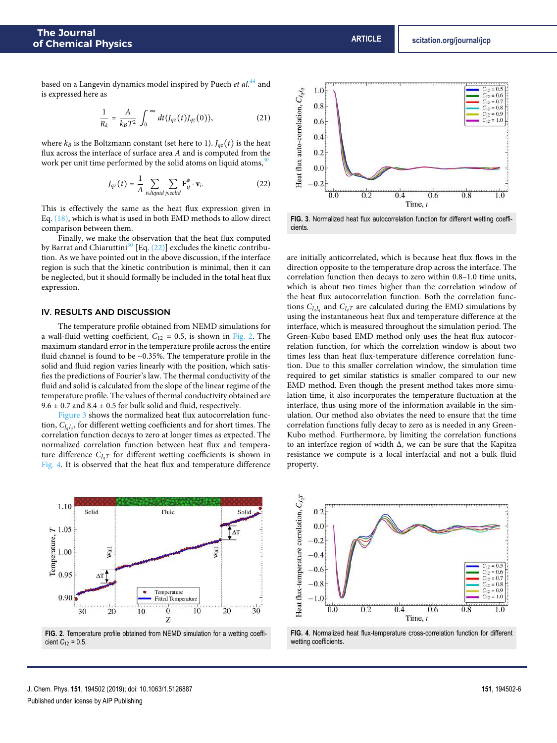based on a Langevin dynamics model inspired by Puech *et al.*<sup>44</sup> and is expressed here as

$$
\frac{1}{R_k} = \frac{A}{k_B T^2} \int_0^\infty dt \langle J_{qz}(t) J_{qz}(0) \rangle, \tag{21}
$$

where  $k_B$  is the Boltzmann constant (set here to 1).  $J_{qz}(t)$  is the heat flux across the interface of surface area *A* and is computed from the work per unit time performed by the solid atoms on liquid atoms,<sup>30</sup>

$$
J_{qz}(t) = \frac{1}{A} \sum_{\substack{i \in liquid j \in solid}} \sum_{j \in solid} \mathbf{F}_{ij}^{\phi} \cdot \mathbf{v}_i.
$$
 (22)

This is effectively the same as the heat flux expression given in Eq. (18), which is what is used in both EMD methods to allow direct comparison between them.

Finally, we make the observation that the heat flux computed by Barrat and Chiaruttini<sup>30</sup> [Eq.  $(22)$ ] excludes the kinetic contribution. As we have pointed out in the above discussion, if the interface region is such that the kinetic contribution is minimal, then it can be neglected, but it should formally be included in the total heat flux expression.

# IV. RESULTS AND DISCUSSION

The temperature profile obtained from NEMD simulations for a wall-fluid wetting coefficient,  $C_{12} = 0.5$ , is shown in Fig. 2. The maximum standard error in the temperature profile across the entire fluid channel is found to be ∼0.35%. The temperature profile in the solid and fluid region varies linearly with the position, which satisfies the predictions of Fourier's law. The thermal conductivity of the fluid and solid is calculated from the slope of the linear regime of the temperature profile. The values of thermal conductivity obtained are  $9.6 \pm 0.7$  and  $8.4 \pm 0.5$  for bulk solid and fluid, respectively.

Figure 3 shows the normalized heat flux autocorrelation function, *C<sup>J</sup>qJ<sup>q</sup>* , for different wetting coefficients and for short times. The correlation function decays to zero at longer times as expected. The normalized correlation function between heat flux and temperature difference  $C_{IaT}$  for different wetting coefficients is shown in Fig. 4. It is observed that the heat flux and temperature difference



**FIG. 2**. Temperature profile obtained from NEMD simulation for a wetting coefficient  $C_{12} = 0.5$ .



**FIG. 3**. Normalized heat flux autocorrelation function for different wetting coefficients.

are initially anticorrelated, which is because heat flux flows in the direction opposite to the temperature drop across the interface. The correlation function then decays to zero within 0.8–1.0 time units, which is about two times higher than the correlation window of the heat flux autocorrelation function. Both the correlation functions  $C_{J_qJ_q}$  and  $C_{J_qT}$  are calculated during the EMD simulations by using the instantaneous heat flux and temperature difference at the interface, which is measured throughout the simulation period. The Green-Kubo based EMD method only uses the heat flux autocorrelation function, for which the correlation window is about two times less than heat flux-temperature difference correlation function. Due to this smaller correlation window, the simulation time required to get similar statistics is smaller compared to our new EMD method. Even though the present method takes more simulation time, it also incorporates the temperature fluctuation at the interface, thus using more of the information available in the simulation. Our method also obviates the need to ensure that the time correlation functions fully decay to zero as is needed in any Green-Kubo method. Furthermore, by limiting the correlation functions to an interface region of width Δ, we can be sure that the Kapitza resistance we compute is a local interfacial and not a bulk fluid property.



**FIG. 4**. Normalized heat flux-temperature cross-correlation function for different wetting coefficients.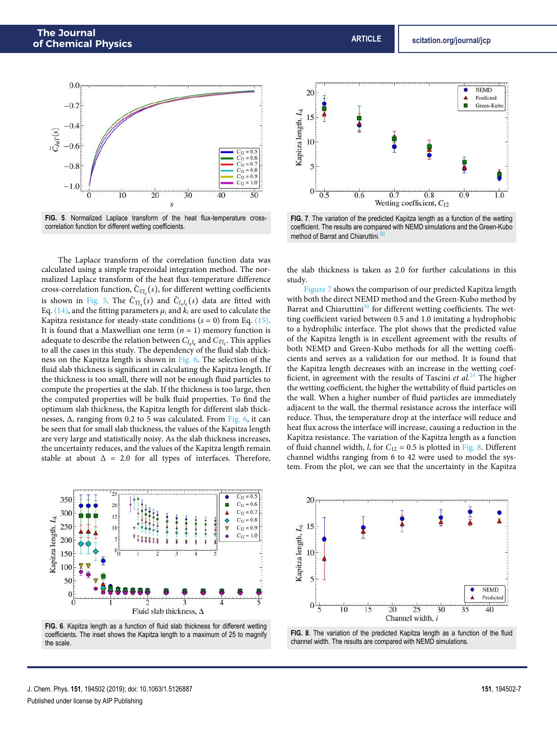



The Laplace transform of the correlation function data was calculated using a simple trapezoidal integration method. The normalized Laplace transform of the heat flux-temperature difference cross-correlation function,  $\tilde{C}_{TJ_q}(s)$ , for different wetting coefficients is shown in Fig. 5. The  $\tilde{C}_{TJ_q}(s)$  and  $\tilde{C}_{J_qJ_q}(s)$  data are fitted with Eq. (14), and the fitting parameters  $\mu_i$  and  $k_i$  are used to calculate the Kapitza resistance for steady-state conditions  $(s = 0)$  from Eq.  $(15)$ . It is found that a Maxwellian one term  $(n = 1)$  memory function is adequate to describe the relation between  $C_{J_qJ_q}$  and  $C_{TJ_q}.$  This applies to all the cases in this study. The dependency of the fluid slab thickness on the Kapitza length is shown in Fig. 6. The selection of the fluid slab thickness is significant in calculating the Kapitza length. If the thickness is too small, there will not be enough fluid particles to compute the properties at the slab. If the thickness is too large, then the computed properties will be bulk fluid properties. To find the optimum slab thickness, the Kapitza length for different slab thicknesses, Δ, ranging from 0.2 to 5 was calculated. From Fig. 6, it can be seen that for small slab thickness, the values of the Kapitza length are very large and statistically noisy. As the slab thickness increases, the uncertainty reduces, and the values of the Kapitza length remain stable at about  $\Delta = 2.0$  for all types of interfaces. Therefore,



**FIG. 6**. Kapitza length as a function of fluid slab thickness for different wetting coefficients. The inset shows the Kapitza length to a maximum of 25 to magnify the scale.



**FIG. 7**. The variation of the predicted Kapitza length as a function of the wetting coefficient. The results are compared with NEMD simulations and the Green-Kubo method of Barrat and Chiaruttini.

the slab thickness is taken as 2.0 for further calculations in this study.

Figure 7 shows the comparison of our predicted Kapitza length with both the direct NEMD method and the Green-Kubo method by Barrat and Chiaruttini<sup>30</sup> for different wetting coefficients. The wetting coefficient varied between 0.5 and 1.0 imitating a hydrophobic to a hydrophilic interface. The plot shows that the predicted value of the Kapitza length is in excellent agreement with the results of both NEMD and Green-Kubo methods for all the wetting coefficients and serves as a validation for our method. It is found that the Kapitza length decreases with an increase in the wetting coefficient, in agreement with the results of Tascini *et al.*<sup>24</sup> The higher the wetting coefficient, the higher the wettability of fluid particles on the wall. When a higher number of fluid particles are immediately adjacent to the wall, the thermal resistance across the interface will reduce. Thus, the temperature drop at the interface will reduce and heat flux across the interface will increase, causing a reduction in the Kapitza resistance. The variation of the Kapitza length as a function of fluid channel width, *l*, for  $C_{12} = 0.5$  is plotted in Fig. 8. Different channel widths ranging from 6 to 42 were used to model the system. From the plot, we can see that the uncertainty in the Kapitza



**FIG. 8**. The variation of the predicted Kapitza length as a function of the fluid channel width. The results are compared with NEMD simulations.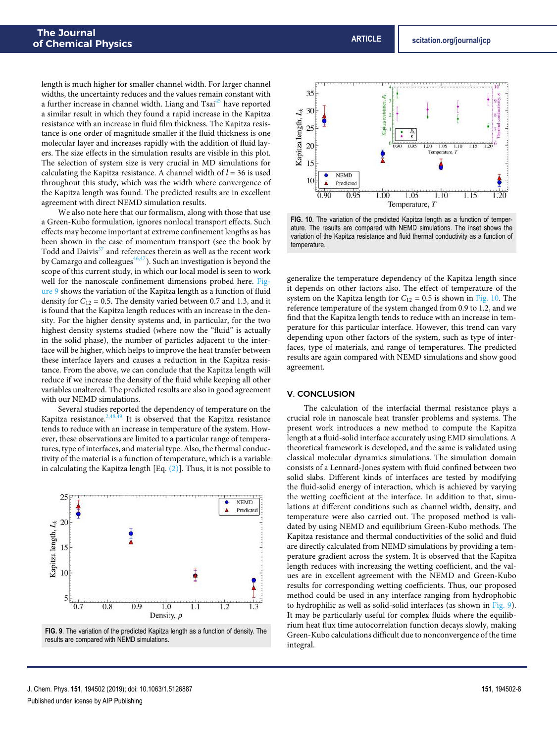length is much higher for smaller channel width. For larger channel widths, the uncertainty reduces and the values remain constant with a further increase in channel width. Liang and Tsai<sup>45</sup> have reported a similar result in which they found a rapid increase in the Kapitza resistance with an increase in fluid film thickness. The Kapitza resistance is one order of magnitude smaller if the fluid thickness is one molecular layer and increases rapidly with the addition of fluid layers. The size effects in the simulation results are visible in this plot. The selection of system size is very crucial in MD simulations for calculating the Kapitza resistance. A channel width of *l* = 36 is used throughout this study, which was the width where convergence of the Kapitza length was found. The predicted results are in excellent agreement with direct NEMD simulation results.

We also note here that our formalism, along with those that use a Green-Kubo formulation, ignores nonlocal transport effects. Such effects may become important at extreme confinement lengths as has been shown in the case of momentum transport (see the book by Todd and Daivis $37$  and references therein as well as the recent work by Camargo and colleagues $46,47$ ). Such an investigation is beyond the scope of this current study, in which our local model is seen to work well for the nanoscale confinement dimensions probed here. Figure 9 shows the variation of the Kapitza length as a function of fluid density for  $C_{12} = 0.5$ . The density varied between 0.7 and 1.3, and it is found that the Kapitza length reduces with an increase in the density. For the higher density systems and, in particular, for the two highest density systems studied (where now the "fluid" is actually in the solid phase), the number of particles adjacent to the interface will be higher, which helps to improve the heat transfer between these interface layers and causes a reduction in the Kapitza resistance. From the above, we can conclude that the Kapitza length will reduce if we increase the density of the fluid while keeping all other variables unaltered. The predicted results are also in good agreement with our NEMD simulations.

Several studies reported the dependency of temperature on the Kapitza resistance. $2,48,49$  It is observed that the Kapitza resistance tends to reduce with an increase in temperature of the system. However, these observations are limited to a particular range of temperatures, type of interfaces, and material type. Also, the thermal conductivity of the material is a function of temperature, which is a variable in calculating the Kapitza length [Eq. (2)]. Thus, it is not possible to



**FIG. 9**. The variation of the predicted Kapitza length as a function of density. The results are compared with NEMD simulations.



**FIG. 10**. The variation of the predicted Kapitza length as a function of temperature. The results are compared with NEMD simulations. The inset shows the variation of the Kapitza resistance and fluid thermal conductivity as a function of temperature.

generalize the temperature dependency of the Kapitza length since it depends on other factors also. The effect of temperature of the system on the Kapitza length for  $C_{12} = 0.5$  is shown in Fig. 10. The reference temperature of the system changed from 0.9 to 1.2, and we find that the Kapitza length tends to reduce with an increase in temperature for this particular interface. However, this trend can vary depending upon other factors of the system, such as type of interfaces, type of materials, and range of temperatures. The predicted results are again compared with NEMD simulations and show good agreement.

# V. CONCLUSION

The calculation of the interfacial thermal resistance plays a crucial role in nanoscale heat transfer problems and systems. The present work introduces a new method to compute the Kapitza length at a fluid-solid interface accurately using EMD simulations. A theoretical framework is developed, and the same is validated using classical molecular dynamics simulations. The simulation domain consists of a Lennard-Jones system with fluid confined between two solid slabs. Different kinds of interfaces are tested by modifying the fluid-solid energy of interaction, which is achieved by varying the wetting coefficient at the interface. In addition to that, simulations at different conditions such as channel width, density, and temperature were also carried out. The proposed method is validated by using NEMD and equilibrium Green-Kubo methods. The Kapitza resistance and thermal conductivities of the solid and fluid are directly calculated from NEMD simulations by providing a temperature gradient across the system. It is observed that the Kapitza length reduces with increasing the wetting coefficient, and the values are in excellent agreement with the NEMD and Green-Kubo results for corresponding wetting coefficients. Thus, our proposed method could be used in any interface ranging from hydrophobic to hydrophilic as well as solid-solid interfaces (as shown in Fig. 9). It may be particularly useful for complex fluids where the equilibrium heat flux time autocorrelation function decays slowly, making Green-Kubo calculations difficult due to nonconvergence of the time integral.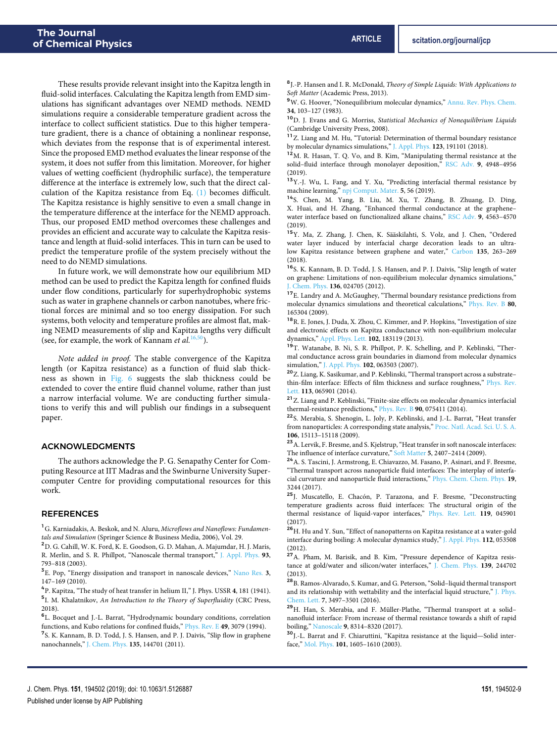These results provide relevant insight into the Kapitza length in fluid-solid interfaces. Calculating the Kapitza length from EMD simulations has significant advantages over NEMD methods. NEMD simulations require a considerable temperature gradient across the interface to collect sufficient statistics. Due to this higher temperature gradient, there is a chance of obtaining a nonlinear response, which deviates from the response that is of experimental interest. Since the proposed EMD method evaluates the linear response of the system, it does not suffer from this limitation. Moreover, for higher values of wetting coefficient (hydrophilic surface), the temperature difference at the interface is extremely low, such that the direct calculation of the Kapitza resistance from Eq. (1) becomes difficult. The Kapitza resistance is highly sensitive to even a small change in the temperature difference at the interface for the NEMD approach. Thus, our proposed EMD method overcomes these challenges and provides an efficient and accurate way to calculate the Kapitza resistance and length at fluid-solid interfaces. This in turn can be used to predict the temperature profile of the system precisely without the need to do NEMD simulations.

In future work, we will demonstrate how our equilibrium MD method can be used to predict the Kapitza length for confined fluids under flow conditions, particularly for superhydrophobic systems such as water in graphene channels or carbon nanotubes, where frictional forces are minimal and so too energy dissipation. For such systems, both velocity and temperature profiles are almost flat, making NEMD measurements of slip and Kapitza lengths very difficult (see, for example, the work of Kannam *et al.*<sup>16,50</sup>).

*Note added in proof.* The stable convergence of the Kapitza length (or Kapitza resistance) as a function of fluid slab thickness as shown in Fig. 6 suggests the slab thickness could be extended to cover the entire fluid channel volume, rather than just a narrow interfacial volume. We are conducting further simulations to verify this and will publish our findings in a subsequent paper.

# ACKNOWLEDGMENTS

The authors acknowledge the P. G. Senapathy Center for Computing Resource at IIT Madras and the Swinburne University Supercomputer Centre for providing computational resources for this work.

#### REFERENCES

<sup>1</sup>G. Karniadakis, A. Beskok, and N. Aluru, *Microflows and Nanoflows: Fundamentals and Simulation* (Springer Science & Business Media, 2006), Vol. 29.

<sup>2</sup>D. G. Cahill, W. K. Ford, K. E. Goodson, G. D. Mahan, A. Majumdar, H. J. Maris, R. Merlin, and S. R. Phillpot, "Nanoscale thermal transport," J. Appl. Phys. **93**, 793–818 (2003).

3 E. Pop, "Energy dissipation and transport in nanoscale devices," Nano Res. **3**, 147–169 (2010).

4 P. Kapitza, "The study of heat transfer in helium II," J. Phys. USSR **4**, 181 (1941). 5 I. M. Khalatnikov, *An Introduction to the Theory of Superfluidity* (CRC Press, 2018).

6 L. Bocquet and J.-L. Barrat, "Hydrodynamic boundary conditions, correlation functions, and Kubo relations for confined fluids," Phys. Rev. E **49**, 3079 (1994).

<sup>7</sup> S. K. Kannam, B. D. Todd, J. S. Hansen, and P. J. Daivis, "Slip flow in graphene nanochannels," J. Chem. Phys. **135**, 144701 (2011).

8 J.-P. Hansen and I. R. McDonald, *Theory of Simple Liquids: With Applications to Soft Matter* (Academic Press, 2013).

<sup>9</sup>W. G. Hoover, "Nonequilibrium molecular dynamics," Annu. Rev. Phys. Chem. **34**, 103–127 (1983).

<sup>10</sup>D. J. Evans and G. Morriss, *Statistical Mechanics of Nonequilibrium Liquids* (Cambridge University Press, 2008).

<sup>11</sup>Z. Liang and M. Hu, "Tutorial: Determination of thermal boundary resistance by molecular dynamics simulations," J. Appl. Phys. **123**, 191101 (2018).

<sup>12</sup>M. R. Hasan, T. Q. Vo, and B. Kim, "Manipulating thermal resistance at the solid–fluid interface through monolayer deposition," RSC Adv. **9**, 4948–4956 (2019).

<sup>13</sup>Y.-J. Wu, L. Fang, and Y. Xu, "Predicting interfacial thermal resistance by machine learning," npj Comput. Mater. **5**, 56 (2019).

<sup>14</sup>S. Chen, M. Yang, B. Liu, M. Xu, T. Zhang, B. Zhuang, D. Ding, X. Huai, and H. Zhang, "Enhanced thermal conductance at the graphene– water interface based on functionalized alkane chains," RSC Adv. **9**, 4563–4570 (2019).

<sup>15</sup>Y. Ma, Z. Zhang, J. Chen, K. Sääskilahti, S. Volz, and J. Chen, "Ordered water layer induced by interfacial charge decoration leads to an ultralow Kapitza resistance between graphene and water," Carbon **135**, 263–269 (2018).

<sup>16</sup>S. K. Kannam, B. D. Todd, J. S. Hansen, and P. J. Daivis, "Slip length of water on graphene: Limitations of non-equilibrium molecular dynamics simulations," J. Chem. Phys. **136**, 024705 (2012).

 $^{17}{\rm E.}$  Landry and A. McGaughey, "Thermal boundary resistance predictions from molecular dynamics simulations and theoretical calculations," Phys. Rev. B **80**, 165304 (2009).

 $^{18}{\rm R}$  E. Jones, J. Duda, X. Zhou, C. Kimmer, and P. Hopkins, "Investigation of size and electronic effects on Kapitza conductance with non-equilibrium molecular dynamics," Appl. Phys. Lett. **102**, 183119 (2013).

<sup>19</sup>T. Watanabe, B. Ni, S. R. Phillpot, P. K. Schelling, and P. Keblinski, "Thermal conductance across grain boundaries in diamond from molecular dynamics simulation," J. Appl. Phys. **102**, 063503 (2007).

<sup>20</sup>Z. Liang, K. Sasikumar, and P. Keblinski, "Thermal transport across a substrate– thin-film interface: Effects of film thickness and surface roughness," Phys. Rev. Lett. **113**, 065901 (2014).

 $^{\mathbf{21}}$  Z. Liang and P. Keblinski, "Finite-size effects on molecular dynamics interfacial thermal-resistance predictions," Phys. Rev. B **90**, 075411 (2014).

<sup>22</sup>S. Merabia, S. Shenogin, L. Joly, P. Keblinski, and J.-L. Barrat, "Heat transfer from nanoparticles: A corresponding state analysis," Proc. Natl. Acad. Sci. U. S. A. **106**, 15113–15118 (2009).

 $^{\bf 23}{\rm A}$  . Lervik, F. Bresme, and S. Kjelstrup, "Heat transfer in soft nanoscale interfaces: The influence of interface curvature," Soft Matter **5**, 2407–2414 (2009).

<sup>24</sup>A. S. Tascini, J. Armstrong, E. Chiavazzo, M. Fasano, P. Asinari, and F. Bresme, "Thermal transport across nanoparticle fluid interfaces: The interplay of interfacial curvature and nanoparticle fluid interactions," Phys. Chem. Chem. Phys. **19**, 3244 (2017).

<sup>25</sup>J. Muscatello, E. Chacón, P. Tarazona, and F. Bresme, "Deconstructing temperature gradients across fluid interfaces: The structural origin of the thermal resistance of liquid-vapor interfaces," Phys. Rev. Lett. **119**, 045901 (2017).

 $^{26}\mathrm{H}.$  Hu and Y. Sun, "Effect of nanopatterns on Kapitza resistance at a water-gold interface during boiling: A molecular dynamics study," J. Appl. Phys. **112**, 053508 (2012).

<sup>27</sup>A. Pham, M. Barisik, and B. Kim, "Pressure dependence of Kapitza resistance at gold/water and silicon/water interfaces," J. Chem. Phys. **139**, 244702 (2013).

<sup>28</sup>B. Ramos-Alvarado, S. Kumar, and G. Peterson, "Solid–liquid thermal transport and its relationship with wettability and the interfacial liquid structure," J. Phys. Chem. Lett. **7**, 3497–3501 (2016).

<sup>29</sup>H. Han, S. Merabia, and F. Müller-Plathe, "Thermal transport at a solid– nanofluid interface: From increase of thermal resistance towards a shift of rapid boiling," Nanoscale **9**, 8314–8320 (2017).

<sup>30</sup>J.-L. Barrat and F. Chiaruttini, "Kapitza resistance at the liquid—Solid interface," Mol. Phys. **101**, 1605–1610 (2003).